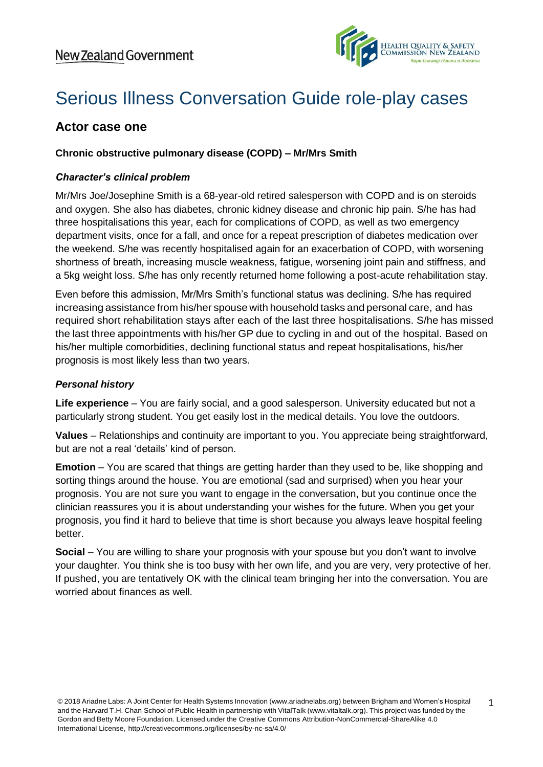

1

# Serious Illness Conversation Guide role-play cases

# **Actor case one**

## **Chronic obstructive pulmonary disease (COPD) – Mr/Mrs Smith**

#### *Character's clinical problem*

Mr/Mrs Joe/Josephine Smith is a 68-year-old retired salesperson with COPD and is on steroids and oxygen. She also has diabetes, chronic kidney disease and chronic hip pain. S/he has had three hospitalisations this year, each for complications of COPD, as well as two emergency department visits, once for a fall, and once for a repeat prescription of diabetes medication over the weekend. S/he was recently hospitalised again for an exacerbation of COPD, with worsening shortness of breath, increasing muscle weakness, fatigue, worsening joint pain and stiffness, and a 5kg weight loss. S/he has only recently returned home following a post-acute rehabilitation stay.

Even before this admission, Mr/Mrs Smith's functional status was declining. S/he has required increasing assistance from his/her spouse with household tasks and personal care, and has required short rehabilitation stays after each of the last three hospitalisations. S/he has missed the last three appointments with his/her GP due to cycling in and out of the hospital. Based on his/her multiple comorbidities, declining functional status and repeat hospitalisations, his/her prognosis is most likely less than two years.

#### *Personal history*

**Life experience** – You are fairly social, and a good salesperson. University educated but not a particularly strong student. You get easily lost in the medical details. You love the outdoors.

**Values** – Relationships and continuity are important to you. You appreciate being straightforward, but are not a real 'details' kind of person.

**Emotion** – You are scared that things are getting harder than they used to be, like shopping and sorting things around the house. You are emotional (sad and surprised) when you hear your prognosis. You are not sure you want to engage in the conversation, but you continue once the clinician reassures you it is about understanding your wishes for the future. When you get your prognosis, you find it hard to believe that time is short because you always leave hospital feeling better.

**Social** – You are willing to share your prognosis with your spouse but you don't want to involve your daughter. You think she is too busy with her own life, and you are very, very protective of her. If pushed, you are tentatively OK with the clinical team bringing her into the conversation. You are worried about finances as well.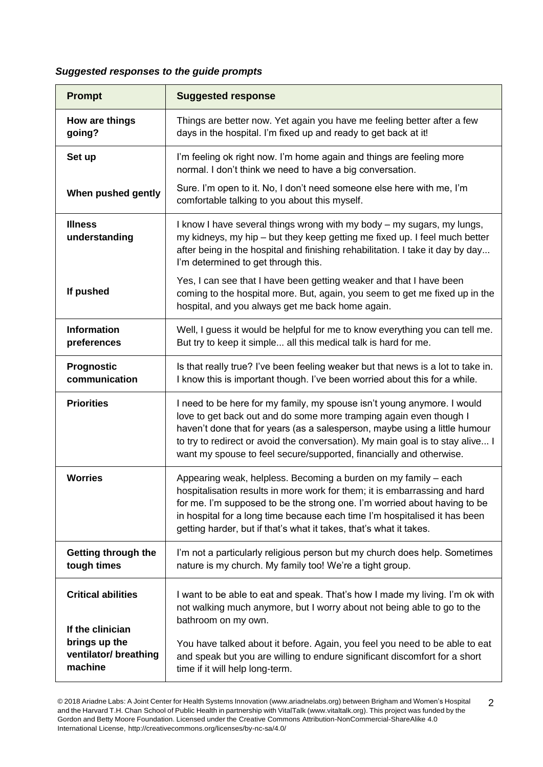# *Suggested responses to the guide prompts*

| <b>Prompt</b>                                     | <b>Suggested response</b>                                                                                                                                                                                                                                                                                                                                                            |
|---------------------------------------------------|--------------------------------------------------------------------------------------------------------------------------------------------------------------------------------------------------------------------------------------------------------------------------------------------------------------------------------------------------------------------------------------|
| How are things<br>going?                          | Things are better now. Yet again you have me feeling better after a few<br>days in the hospital. I'm fixed up and ready to get back at it!                                                                                                                                                                                                                                           |
| Set up                                            | I'm feeling ok right now. I'm home again and things are feeling more<br>normal. I don't think we need to have a big conversation.                                                                                                                                                                                                                                                    |
| When pushed gently                                | Sure. I'm open to it. No, I don't need someone else here with me, I'm<br>comfortable talking to you about this myself.                                                                                                                                                                                                                                                               |
| <b>Illness</b><br>understanding                   | I know I have several things wrong with my body - my sugars, my lungs,<br>my kidneys, my hip – but they keep getting me fixed up. I feel much better<br>after being in the hospital and finishing rehabilitation. I take it day by day<br>I'm determined to get through this.                                                                                                        |
| If pushed                                         | Yes, I can see that I have been getting weaker and that I have been<br>coming to the hospital more. But, again, you seem to get me fixed up in the<br>hospital, and you always get me back home again.                                                                                                                                                                               |
| <b>Information</b><br>preferences                 | Well, I guess it would be helpful for me to know everything you can tell me.<br>But try to keep it simple all this medical talk is hard for me.                                                                                                                                                                                                                                      |
| Prognostic<br>communication                       | Is that really true? I've been feeling weaker but that news is a lot to take in.<br>I know this is important though. I've been worried about this for a while.                                                                                                                                                                                                                       |
| <b>Priorities</b>                                 | I need to be here for my family, my spouse isn't young anymore. I would<br>love to get back out and do some more tramping again even though I<br>haven't done that for years (as a salesperson, maybe using a little humour<br>to try to redirect or avoid the conversation). My main goal is to stay alive I<br>want my spouse to feel secure/supported, financially and otherwise. |
| <b>Worries</b>                                    | Appearing weak, helpless. Becoming a burden on my family - each<br>hospitalisation results in more work for them; it is embarrassing and hard<br>for me. I'm supposed to be the strong one. I'm worried about having to be<br>in hospital for a long time because each time I'm hospitalised it has been<br>getting harder, but if that's what it takes, that's what it takes.       |
| Getting through the<br>tough times                | I'm not a particularly religious person but my church does help. Sometimes<br>nature is my church. My family too! We're a tight group.                                                                                                                                                                                                                                               |
| <b>Critical abilities</b><br>If the clinician     | I want to be able to eat and speak. That's how I made my living. I'm ok with<br>not walking much anymore, but I worry about not being able to go to the<br>bathroom on my own.                                                                                                                                                                                                       |
| brings up the<br>ventilator/ breathing<br>machine | You have talked about it before. Again, you feel you need to be able to eat<br>and speak but you are willing to endure significant discomfort for a short<br>time if it will help long-term.                                                                                                                                                                                         |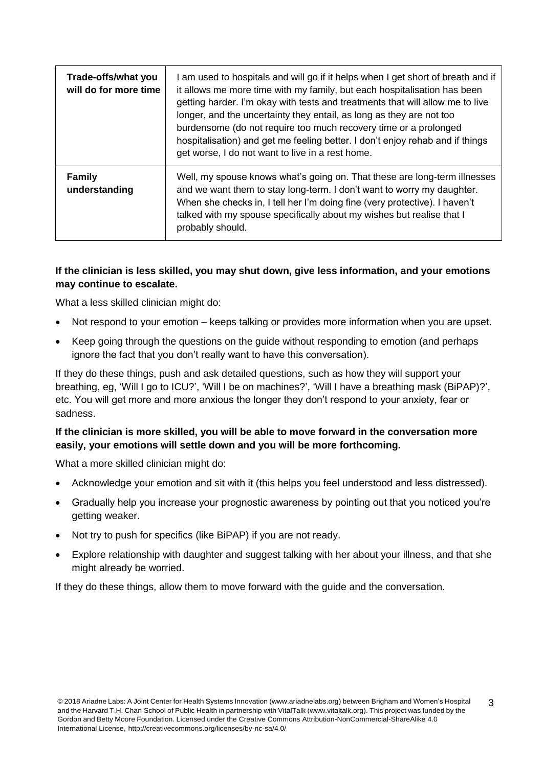| Trade-offs/what you<br>will do for more time | am used to hospitals and will go if it helps when I get short of breath and if<br>it allows me more time with my family, but each hospitalisation has been<br>getting harder. I'm okay with tests and treatments that will allow me to live<br>longer, and the uncertainty they entail, as long as they are not too<br>burdensome (do not require too much recovery time or a prolonged<br>hospitalisation) and get me feeling better. I don't enjoy rehab and if things<br>get worse, I do not want to live in a rest home. |
|----------------------------------------------|------------------------------------------------------------------------------------------------------------------------------------------------------------------------------------------------------------------------------------------------------------------------------------------------------------------------------------------------------------------------------------------------------------------------------------------------------------------------------------------------------------------------------|
| <b>Family</b><br>understanding               | Well, my spouse knows what's going on. That these are long-term illnesses<br>and we want them to stay long-term. I don't want to worry my daughter.<br>When she checks in, I tell her I'm doing fine (very protective). I haven't<br>talked with my spouse specifically about my wishes but realise that I<br>probably should.                                                                                                                                                                                               |

# **If the clinician is less skilled, you may shut down, give less information, and your emotions may continue to escalate.**

What a less skilled clinician might do:

- Not respond to your emotion keeps talking or provides more information when you are upset.
- Keep going through the questions on the guide without responding to emotion (and perhaps ignore the fact that you don't really want to have this conversation).

If they do these things, push and ask detailed questions, such as how they will support your breathing, eg, 'Will I go to ICU?', 'Will I be on machines?', 'Will I have a breathing mask (BiPAP)?', etc. You will get more and more anxious the longer they don't respond to your anxiety, fear or sadness.

## **If the clinician is more skilled, you will be able to move forward in the conversation more easily, your emotions will settle down and you will be more forthcoming.**

What a more skilled clinician might do:

- Acknowledge your emotion and sit with it (this helps you feel understood and less distressed).
- Gradually help you increase your prognostic awareness by pointing out that you noticed you're getting weaker.
- Not try to push for specifics (like BiPAP) if you are not ready.
- Explore relationship with daughter and suggest talking with her about your illness, and that she might already be worried.

If they do these things, allow them to move forward with the guide and the conversation.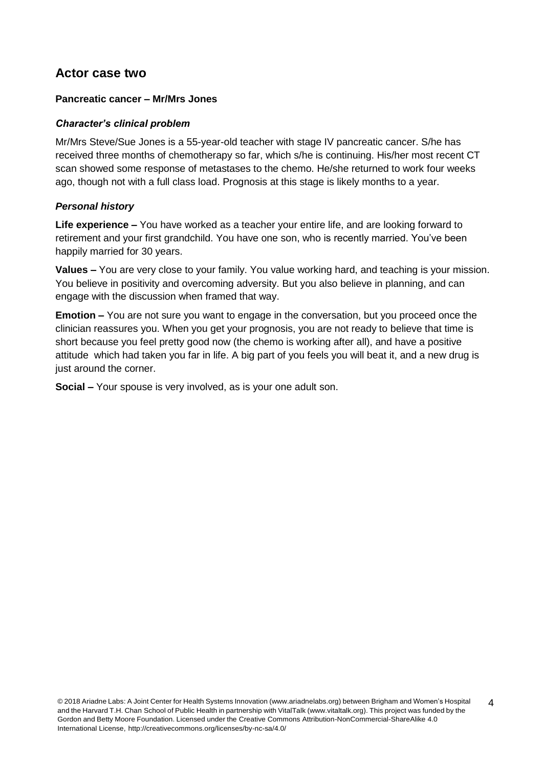# **Actor case two**

## **Pancreatic cancer – Mr/Mrs Jones**

#### *Character's clinical problem*

Mr/Mrs Steve/Sue Jones is a 55-year-old teacher with stage IV pancreatic cancer. S/he has received three months of chemotherapy so far, which s/he is continuing. His/her most recent CT scan showed some response of metastases to the chemo. He/she returned to work four weeks ago, though not with a full class load. Prognosis at this stage is likely months to a year.

#### *Personal history*

**Life experience –** You have worked as a teacher your entire life, and are looking forward to retirement and your first grandchild. You have one son, who is recently married. You've been happily married for 30 years.

**Values –** You are very close to your family. You value working hard, and teaching is your mission. You believe in positivity and overcoming adversity. But you also believe in planning, and can engage with the discussion when framed that way.

**Emotion –** You are not sure you want to engage in the conversation, but you proceed once the clinician reassures you. When you get your prognosis, you are not ready to believe that time is short because you feel pretty good now (the chemo is working after all), and have a positive attitude which had taken you far in life. A big part of you feels you will beat it, and a new drug is just around the corner.

**Social –** Your spouse is very involved, as is your one adult son.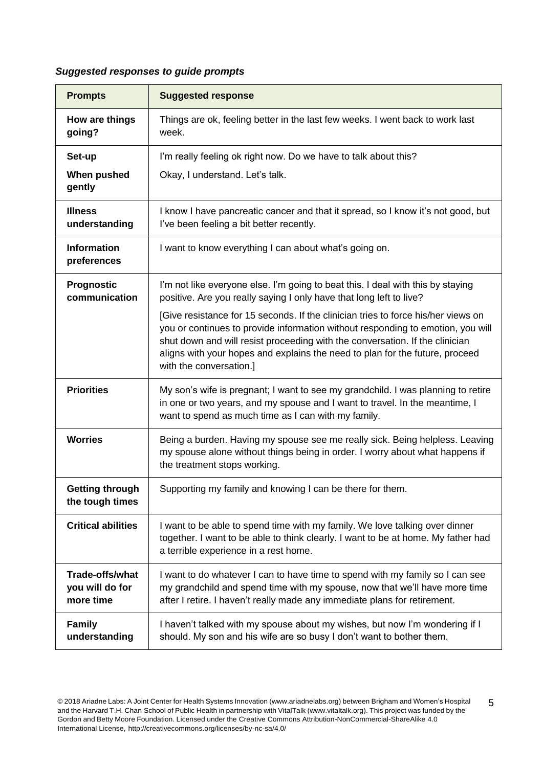# *Suggested responses to guide prompts*

| <b>Prompts</b>                                         | <b>Suggested response</b>                                                                                                                                                                                                                                                                                                                                       |
|--------------------------------------------------------|-----------------------------------------------------------------------------------------------------------------------------------------------------------------------------------------------------------------------------------------------------------------------------------------------------------------------------------------------------------------|
| How are things<br>going?                               | Things are ok, feeling better in the last few weeks. I went back to work last<br>week.                                                                                                                                                                                                                                                                          |
| Set-up                                                 | I'm really feeling ok right now. Do we have to talk about this?                                                                                                                                                                                                                                                                                                 |
| When pushed<br>gently                                  | Okay, I understand. Let's talk.                                                                                                                                                                                                                                                                                                                                 |
| <b>Illness</b><br>understanding                        | I know I have pancreatic cancer and that it spread, so I know it's not good, but<br>I've been feeling a bit better recently.                                                                                                                                                                                                                                    |
| <b>Information</b><br>preferences                      | I want to know everything I can about what's going on.                                                                                                                                                                                                                                                                                                          |
| <b>Prognostic</b><br>communication                     | I'm not like everyone else. I'm going to beat this. I deal with this by staying<br>positive. Are you really saying I only have that long left to live?                                                                                                                                                                                                          |
|                                                        | [Give resistance for 15 seconds. If the clinician tries to force his/her views on<br>you or continues to provide information without responding to emotion, you will<br>shut down and will resist proceeding with the conversation. If the clinician<br>aligns with your hopes and explains the need to plan for the future, proceed<br>with the conversation.] |
| <b>Priorities</b>                                      | My son's wife is pregnant; I want to see my grandchild. I was planning to retire<br>in one or two years, and my spouse and I want to travel. In the meantime, I<br>want to spend as much time as I can with my family.                                                                                                                                          |
| <b>Worries</b>                                         | Being a burden. Having my spouse see me really sick. Being helpless. Leaving<br>my spouse alone without things being in order. I worry about what happens if<br>the treatment stops working.                                                                                                                                                                    |
| <b>Getting through</b><br>the tough times              | Supporting my family and knowing I can be there for them.                                                                                                                                                                                                                                                                                                       |
| <b>Critical abilities</b>                              | I want to be able to spend time with my family. We love talking over dinner<br>together. I want to be able to think clearly. I want to be at home. My father had<br>a terrible experience in a rest home.                                                                                                                                                       |
| <b>Trade-offs/what</b><br>you will do for<br>more time | I want to do whatever I can to have time to spend with my family so I can see<br>my grandchild and spend time with my spouse, now that we'll have more time<br>after I retire. I haven't really made any immediate plans for retirement.                                                                                                                        |
| <b>Family</b><br>understanding                         | I haven't talked with my spouse about my wishes, but now I'm wondering if I<br>should. My son and his wife are so busy I don't want to bother them.                                                                                                                                                                                                             |